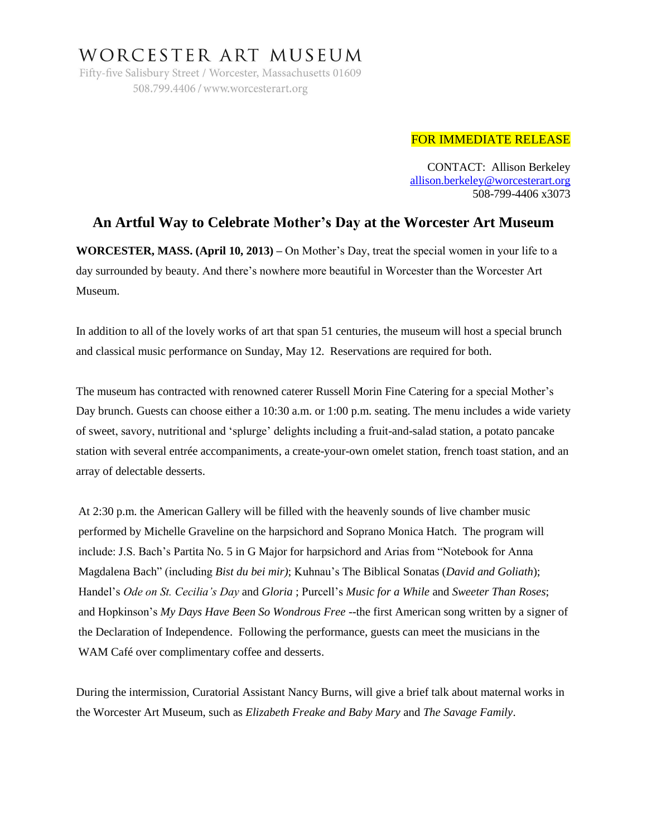## WORCESTER ART MUSEUM

Fifty-five Salisbury Street / Worcester, Massachusetts 01609 508.799.4406 / www.worcesterart.org

## FOR IMMEDIATE RELEASE

CONTACT: Allison Berkeley [allison.berkeley@worcesterart.org](mailto:allison.berkeley@worcesterart.org) 508-799-4406 x3073

## **An Artful Way to Celebrate Mother's Day at the Worcester Art Museum**

**WORCESTER, MASS. (April 10, 2013) –** On Mother's Day, treat the special women in your life to a day surrounded by beauty. And there's nowhere more beautiful in Worcester than the Worcester Art Museum.

In addition to all of the lovely works of art that span 51 centuries, the museum will host a special brunch and classical music performance on Sunday, May 12. Reservations are required for both.

The museum has contracted with renowned caterer Russell Morin Fine Catering for a special Mother's Day brunch. Guests can choose either a 10:30 a.m. or 1:00 p.m. seating. The menu includes a wide variety of sweet, savory, nutritional and 'splurge' delights including a fruit-and-salad station, a potato pancake station with several entrée accompaniments, a create-your-own omelet station, french toast station, and an array of delectable desserts.

At 2:30 p.m. the American Gallery will be filled with the heavenly sounds of live chamber music performed by Michelle Graveline on the harpsichord and Soprano Monica Hatch. The program will include: J.S. Bach's Partita No. 5 in G Major for harpsichord and Arias from "Notebook for Anna Magdalena Bach" (including *Bist du bei mir)*; Kuhnau's The Biblical Sonatas (*David and Goliath*); Handel's *Ode on St. Cecilia's Day* and *Gloria* ; Purcell's *Music for a While* and *Sweeter Than Roses*; and Hopkinson's *My Days Have Been So Wondrous Free* --the first American song written by a signer of the Declaration of Independence. Following the performance, guests can meet the musicians in the WAM Café over complimentary coffee and desserts.

During the intermission, Curatorial Assistant Nancy Burns, will give a brief talk about maternal works in the Worcester Art Museum, such as *Elizabeth Freake and Baby Mary* and *The Savage Family*.